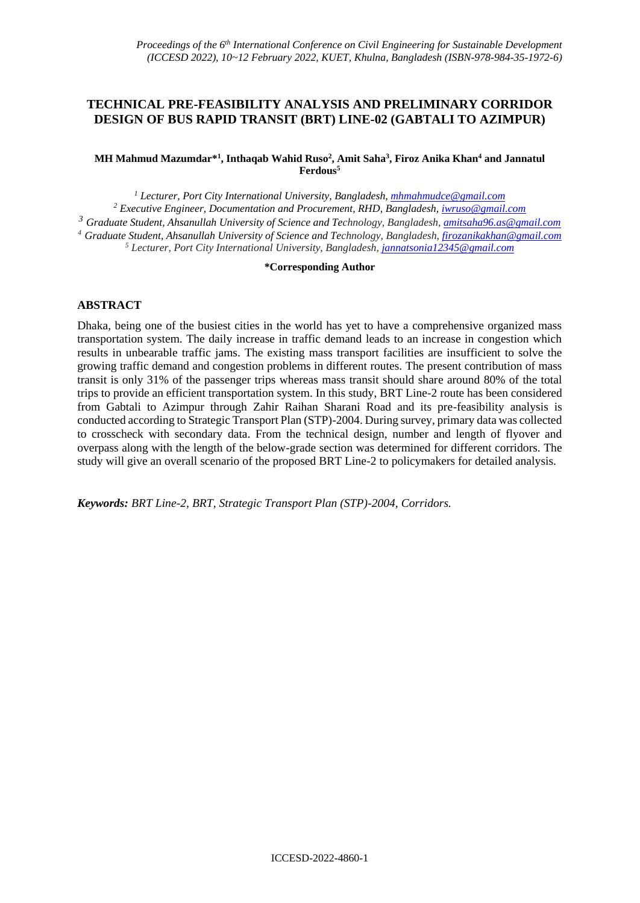# **TECHNICAL PRE-FEASIBILITY ANALYSIS AND PRELIMINARY CORRIDOR DESIGN OF BUS RAPID TRANSIT (BRT) LINE-02 (GABTALI TO AZIMPUR)**

#### **MH Mahmud Mazumdar\* 1 , Inthaqab Wahid Ruso<sup>2</sup> , Amit Saha<sup>3</sup> , Firoz Anika Khan<sup>4</sup> and Jannatul Ferdous<sup>5</sup>**

 *Lecturer, Port City International University, Bangladesh, [mhmahmudce@gmail.com](mailto:mhmahmudce@gmail.com) Executive Engineer, Documentation and Procurement, RHD, Bangladesh, [iwruso@gmail.com](mailto:iwruso@gmail.com) Graduate Student, Ahsanullah University of Science and Technology, Bangladesh, [amitsaha96.as@gmail.com](mailto:amitsaha96.as@gmail.com) Graduate Student, Ahsanullah University of Science and Technology, Bangladesh[, firozanikakhan@gmail.com](mailto:firozanikakhan@gmail.com) Lecturer, Port City International University, Bangladesh, [jannatsonia12345@gmail.com](mailto:jannatsonia12345@gmail.com)*

#### **\*Corresponding Author**

### **ABSTRACT**

Dhaka, being one of the busiest cities in the world has yet to have a comprehensive organized mass transportation system. The daily increase in traffic demand leads to an increase in congestion which results in unbearable traffic jams. The existing mass transport facilities are insufficient to solve the growing traffic demand and congestion problems in different routes. The present contribution of mass transit is only 31% of the passenger trips whereas mass transit should share around 80% of the total trips to provide an efficient transportation system. In this study, BRT Line-2 route has been considered from Gabtali to Azimpur through Zahir Raihan Sharani Road and its pre-feasibility analysis is conducted according to Strategic Transport Plan (STP)-2004. During survey, primary data was collected to crosscheck with secondary data. From the technical design, number and length of flyover and overpass along with the length of the below-grade section was determined for different corridors. The study will give an overall scenario of the proposed BRT Line-2 to policymakers for detailed analysis.

*Keywords: BRT Line-2, BRT, Strategic Transport Plan (STP)-2004, Corridors.*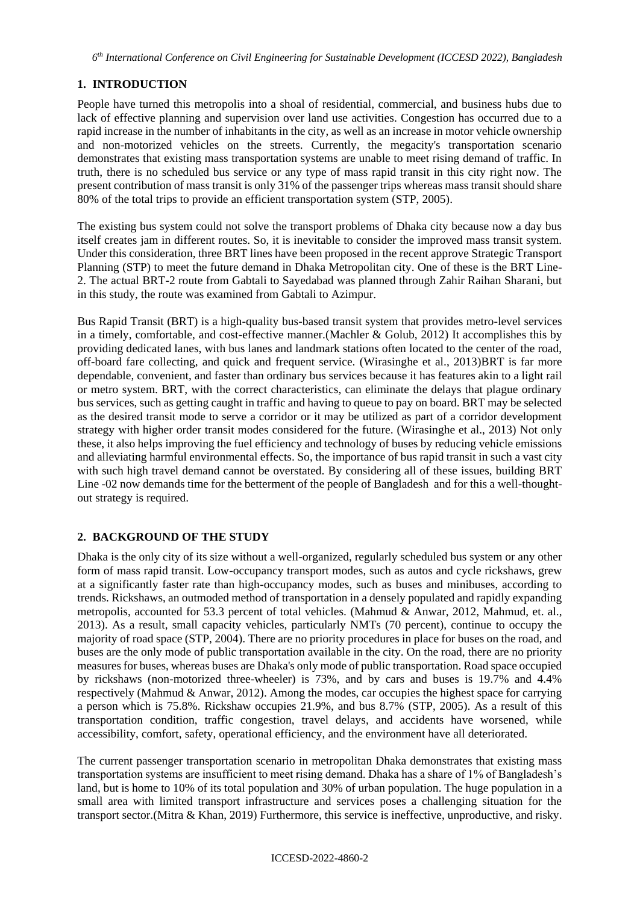## **1. INTRODUCTION**

People have turned this metropolis into a shoal of residential, commercial, and business hubs due to lack of effective planning and supervision over land use activities. Congestion has occurred due to a rapid increase in the number of inhabitants in the city, as well as an increase in motor vehicle ownership and non-motorized vehicles on the streets. Currently, the megacity's transportation scenario demonstrates that existing mass transportation systems are unable to meet rising demand of traffic. In truth, there is no scheduled bus service or any type of mass rapid transit in this city right now. The present contribution of mass transit is only 31% of the passenger trips whereas mass transit should share 80% of the total trips to provide an efficient transportation system (STP, 2005).

The existing bus system could not solve the transport problems of Dhaka city because now a day bus itself creates jam in different routes. So, it is inevitable to consider the improved mass transit system. Under this consideration, three BRT lines have been proposed in the recent approve Strategic Transport Planning (STP) to meet the future demand in Dhaka Metropolitan city. One of these is the BRT Line-2. The actual BRT-2 route from Gabtali to Sayedabad was planned through Zahir Raihan Sharani, but in this study, the route was examined from Gabtali to Azimpur.

Bus Rapid Transit (BRT) is a high-quality bus-based transit system that provides metro-level services in a timely, comfortable, and cost-effective manner.(Machler & Golub, 2012) It accomplishes this by providing dedicated lanes, with bus lanes and landmark stations often located to the center of the road, off-board fare collecting, and quick and frequent service. (Wirasinghe et al., 2013)BRT is far more dependable, convenient, and faster than ordinary bus services because it has features akin to a light rail or metro system. BRT, with the correct characteristics, can eliminate the delays that plague ordinary bus services, such as getting caught in traffic and having to queue to pay on board. BRT may be selected as the desired transit mode to serve a corridor or it may be utilized as part of a corridor development strategy with higher order transit modes considered for the future. (Wirasinghe et al., 2013) Not only these, it also helps improving the fuel efficiency and technology of buses by reducing vehicle emissions and alleviating harmful environmental effects. So, the importance of bus rapid transit in such a vast city with such high travel demand cannot be overstated. By considering all of these issues, building BRT Line -02 now demands time for the betterment of the people of Bangladesh and for this a well-thoughtout strategy is required.

## **2. BACKGROUND OF THE STUDY**

Dhaka is the only city of its size without a well-organized, regularly scheduled bus system or any other form of mass rapid transit. Low-occupancy transport modes, such as autos and cycle rickshaws, grew at a significantly faster rate than high-occupancy modes, such as buses and minibuses, according to trends. Rickshaws, an outmoded method of transportation in a densely populated and rapidly expanding metropolis, accounted for 53.3 percent of total vehicles. (Mahmud & Anwar, 2012, Mahmud, et. al., 2013). As a result, small capacity vehicles, particularly NMTs (70 percent), continue to occupy the majority of road space (STP, 2004). There are no priority procedures in place for buses on the road, and buses are the only mode of public transportation available in the city. On the road, there are no priority measures for buses, whereas buses are Dhaka's only mode of public transportation. Road space occupied by rickshaws (non-motorized three-wheeler) is 73%, and by cars and buses is 19.7% and 4.4% respectively (Mahmud & Anwar, 2012). Among the modes, car occupies the highest space for carrying a person which is 75.8%. Rickshaw occupies 21.9%, and bus 8.7% (STP, 2005). As a result of this transportation condition, traffic congestion, travel delays, and accidents have worsened, while accessibility, comfort, safety, operational efficiency, and the environment have all deteriorated.

The current passenger transportation scenario in metropolitan Dhaka demonstrates that existing mass transportation systems are insufficient to meet rising demand. Dhaka has a share of 1% of Bangladesh's land, but is home to 10% of its total population and 30% of urban population. The huge population in a small area with limited transport infrastructure and services poses a challenging situation for the transport sector.(Mitra & Khan, 2019) Furthermore, this service is ineffective, unproductive, and risky.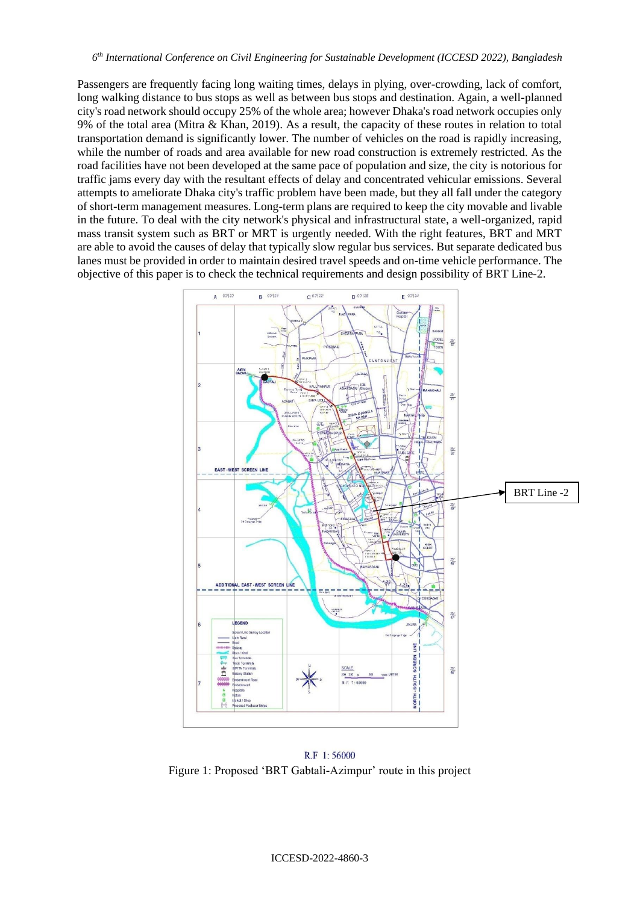Passengers are frequently facing long waiting times, delays in plying, over-crowding, lack of comfort, long walking distance to bus stops as well as between bus stops and destination. Again, a well-planned city's road network should occupy 25% of the whole area; however Dhaka's road network occupies only 9% of the total area (Mitra & Khan, 2019). As a result, the capacity of these routes in relation to total transportation demand is significantly lower. The number of vehicles on the road is rapidly increasing, while the number of roads and area available for new road construction is extremely restricted. As the road facilities have not been developed at the same pace of population and size, the city is notorious for traffic jams every day with the resultant effects of delay and concentrated vehicular emissions. Several attempts to ameliorate Dhaka city's traffic problem have been made, but they all fall under the category of short-term management measures. Long-term plans are required to keep the city movable and livable in the future. To deal with the city network's physical and infrastructural state, a well-organized, rapid mass transit system such as BRT or MRT is urgently needed. With the right features, BRT and MRT are able to avoid the causes of delay that typically slow regular bus services. But separate dedicated bus lanes must be provided in order to maintain desired travel speeds and on-time vehicle performance. The objective of this paper is to check the technical requirements and design possibility of BRT Line-2.



R.F 1:56000 Figure 1: Proposed 'BRT Gabtali-Azimpur' route in this project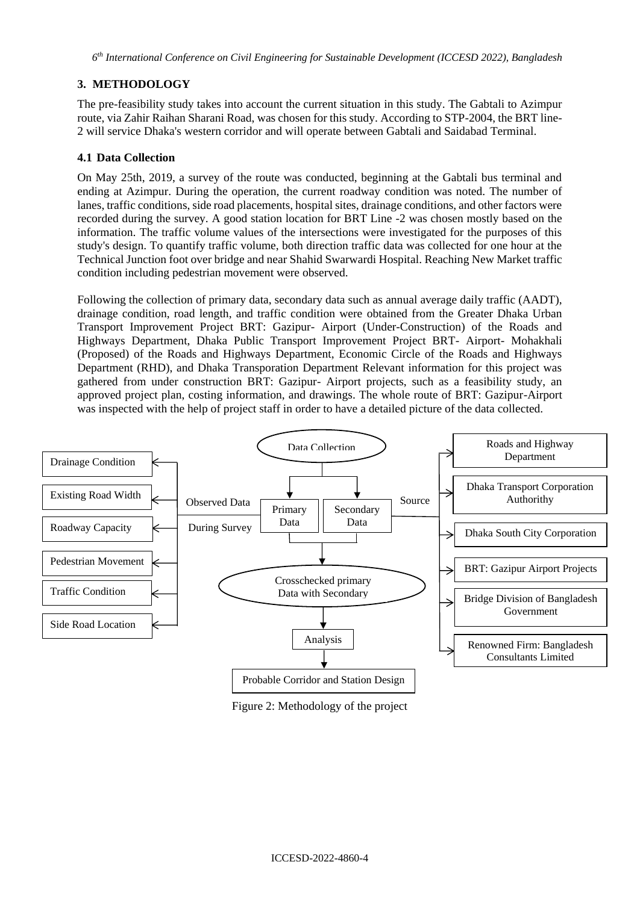*6 th International Conference on Civil Engineering for Sustainable Development (ICCESD 2022), Bangladesh*

# **3. METHODOLOGY**

The pre-feasibility study takes into account the current situation in this study. The Gabtali to Azimpur route, via Zahir Raihan Sharani Road, was chosen for this study. According to STP-2004, the BRT line-2 will service Dhaka's western corridor and will operate between Gabtali and Saidabad Terminal.

## **4.1 Data Collection**

On May 25th, 2019, a survey of the route was conducted, beginning at the Gabtali bus terminal and ending at Azimpur. During the operation, the current roadway condition was noted. The number of lanes, traffic conditions, side road placements, hospital sites, drainage conditions, and other factors were recorded during the survey. A good station location for BRT Line -2 was chosen mostly based on the information. The traffic volume values of the intersections were investigated for the purposes of this study's design. To quantify traffic volume, both direction traffic data was collected for one hour at the Technical Junction foot over bridge and near Shahid Swarwardi Hospital. Reaching New Market traffic condition including pedestrian movement were observed.

Following the collection of primary data, secondary data such as annual average daily traffic (AADT), drainage condition, road length, and traffic condition were obtained from the Greater Dhaka Urban Transport Improvement Project BRT: Gazipur- Airport (Under-Construction) of the Roads and Highways Department, Dhaka Public Transport Improvement Project BRT- Airport- Mohakhali (Proposed) of the Roads and Highways Department, Economic Circle of the Roads and Highways Department (RHD), and Dhaka Transporation Department Relevant information for this project was gathered from under construction BRT: Gazipur- Airport projects, such as a feasibility study, an approved project plan, costing information, and drawings. The whole route of BRT: Gazipur-Airport was inspected with the help of project staff in order to have a detailed picture of the data collected.



Figure 2: Methodology of the project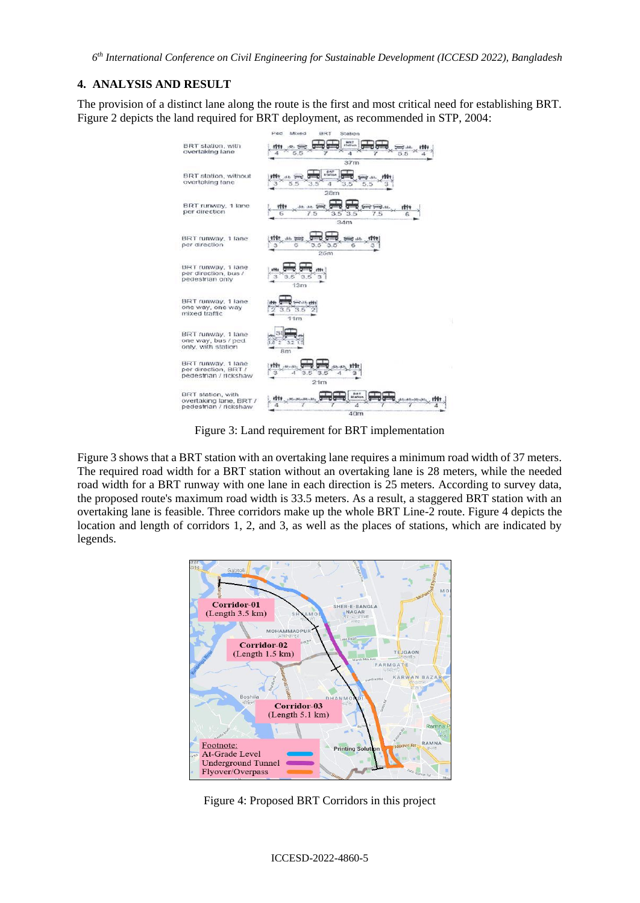*6 th International Conference on Civil Engineering for Sustainable Development (ICCESD 2022), Bangladesh*

#### **4. ANALYSIS AND RESULT**

The provision of a distinct lane along the route is the first and most critical need for establishing BRT. Figure 2 depicts the land required for BRT deployment, as recommended in STP, 2004:



Figure 3: Land requirement for BRT implementation

Figure 3 shows that a BRT station with an overtaking lane requires a minimum road width of 37 meters. The required road width for a BRT station without an overtaking lane is 28 meters, while the needed road width for a BRT runway with one lane in each direction is 25 meters. According to survey data, the proposed route's maximum road width is 33.5 meters. As a result, a staggered BRT station with an overtaking lane is feasible. Three corridors make up the whole BRT Line-2 route. Figure 4 depicts the location and length of corridors 1, 2, and 3, as well as the places of stations, which are indicated by legends.



Figure 4: Proposed BRT Corridors in this project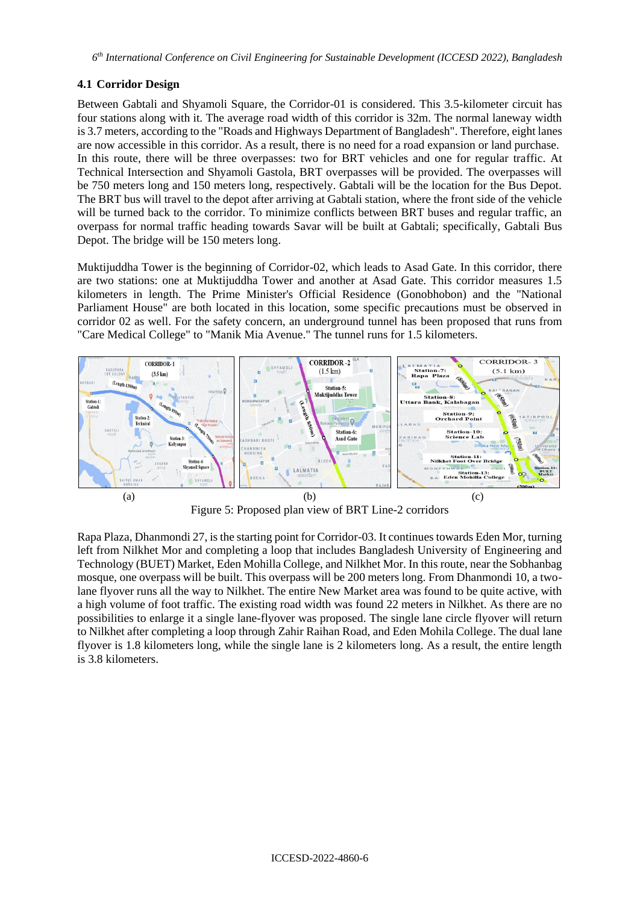# **4.1 Corridor Design**

Between Gabtali and Shyamoli Square, the Corridor-01 is considered. This 3.5-kilometer circuit has four stations along with it. The average road width of this corridor is 32m. The normal laneway width is 3.7 meters, according to the "Roads and Highways Department of Bangladesh". Therefore, eight lanes are now accessible in this corridor. As a result, there is no need for a road expansion or land purchase. In this route, there will be three overpasses: two for BRT vehicles and one for regular traffic. At Technical Intersection and Shyamoli Gastola, BRT overpasses will be provided. The overpasses will be 750 meters long and 150 meters long, respectively. Gabtali will be the location for the Bus Depot. The BRT bus will travel to the depot after arriving at Gabtali station, where the front side of the vehicle will be turned back to the corridor. To minimize conflicts between BRT buses and regular traffic, an overpass for normal traffic heading towards Savar will be built at Gabtali; specifically, Gabtali Bus Depot. The bridge will be 150 meters long.

Muktijuddha Tower is the beginning of Corridor-02, which leads to Asad Gate. In this corridor, there are two stations: one at Muktijuddha Tower and another at Asad Gate. This corridor measures 1.5 kilometers in length. The Prime Minister's Official Residence (Gonobhobon) and the "National Parliament House" are both located in this location, some specific precautions must be observed in corridor 02 as well. For the safety concern, an underground tunnel has been proposed that runs from "Care Medical College" to "Manik Mia Avenue." The tunnel runs for 1.5 kilometers.



Figure 5: Proposed plan view of BRT Line-2 corridors

Rapa Plaza, Dhanmondi 27, is the starting point for Corridor-03. It continues towards Eden Mor, turning left from Nilkhet Mor and completing a loop that includes Bangladesh University of Engineering and Technology (BUET) Market, Eden Mohilla College, and Nilkhet Mor. In this route, near the Sobhanbag mosque, one overpass will be built. This overpass will be 200 meters long. From Dhanmondi 10, a twolane flyover runs all the way to Nilkhet. The entire New Market area was found to be quite active, with a high volume of foot traffic. The existing road width was found 22 meters in Nilkhet. As there are no possibilities to enlarge it a single lane-flyover was proposed. The single lane circle flyover will return to Nilkhet after completing a loop through Zahir Raihan Road, and Eden Mohila College. The dual lane flyover is 1.8 kilometers long, while the single lane is 2 kilometers long. As a result, the entire length is 3.8 kilometers.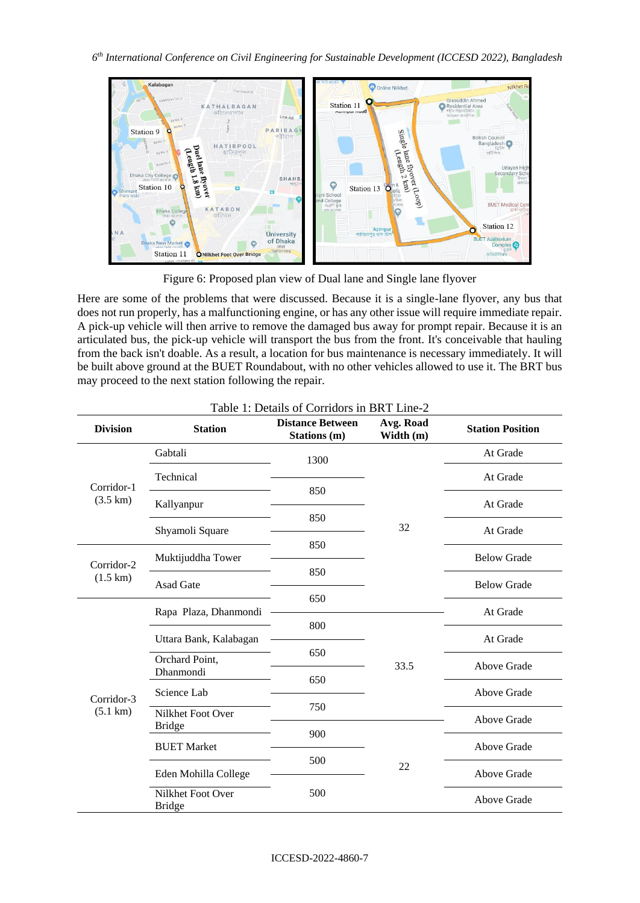

Figure 6: Proposed plan view of Dual lane and Single lane flyover

Here are some of the problems that were discussed. Because it is a single-lane flyover, any bus that does not run properly, has a malfunctioning engine, or has any other issue will require immediate repair. A pick-up vehicle will then arrive to remove the damaged bus away for prompt repair. Because it is an articulated bus, the pick-up vehicle will transport the bus from the front. It's conceivable that hauling from the back isn't doable. As a result, a location for bus maintenance is necessary immediately. It will be built above ground at the BUET Roundabout, with no other vehicles allowed to use it. The BRT bus may proceed to the next station following the repair.

| <b>Division</b>                  | <b>Station</b>                      | <b>Distance Between</b><br>Stations (m) | Avg. Road<br>Width (m) | <b>Station Position</b> |
|----------------------------------|-------------------------------------|-----------------------------------------|------------------------|-------------------------|
| Corridor-1<br>$(3.5 \text{ km})$ | Gabtali                             | 1300                                    |                        | At Grade                |
|                                  | Technical                           | 850<br>850                              |                        | At Grade                |
|                                  | Kallyanpur                          |                                         |                        | At Grade                |
|                                  | Shyamoli Square                     |                                         | 32                     | At Grade                |
| Corridor-2<br>$(1.5 \text{ km})$ | Muktijuddha Tower                   | 850                                     |                        | <b>Below Grade</b>      |
|                                  | <b>Asad Gate</b>                    | 850                                     |                        | <b>Below Grade</b>      |
| Corridor-3<br>$(5.1 \text{ km})$ | Rapa Plaza, Dhanmondi               | 650                                     |                        | At Grade                |
|                                  | Uttara Bank, Kalabagan              | 800                                     | 33.5                   | At Grade                |
|                                  | Orchard Point,<br>Dhanmondi         | 650<br>650                              |                        | Above Grade             |
|                                  | Science Lab                         |                                         |                        | Above Grade             |
|                                  | Nilkhet Foot Over                   | 750                                     |                        | Above Grade             |
|                                  | <b>Bridge</b><br><b>BUET Market</b> | 900<br>500<br>22                        | Above Grade            |                         |
|                                  | Eden Mohilla College                |                                         | Above Grade            |                         |
|                                  | Nilkhet Foot Over<br><b>Bridge</b>  | 500                                     |                        | Above Grade             |

# Table 1: Details of Corridors in BRT Line-2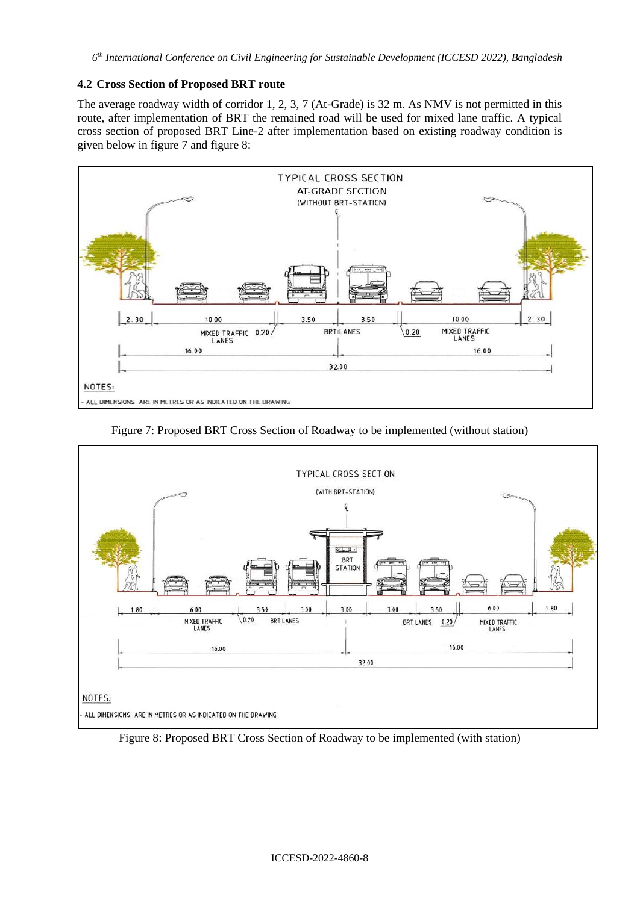### **4.2 Cross Section of Proposed BRT route**

The average roadway width of corridor 1, 2, 3, 7 (At-Grade) is 32 m. As NMV is not permitted in this route, after implementation of BRT the remained road will be used for mixed lane traffic. A typical cross section of proposed BRT Line-2 after implementation based on existing roadway condition is given below in figure 7 and figure 8:



Figure 7: Proposed BRT Cross Section of Roadway to be implemented (without station)



Figure 8: Proposed BRT Cross Section of Roadway to be implemented (with station)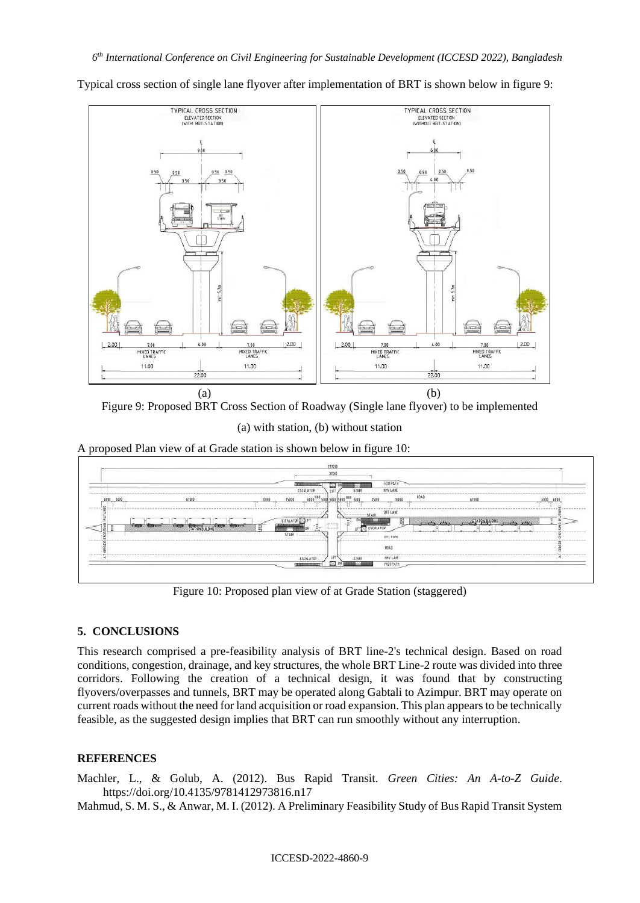**TYPICAL CROSS SECTION TYPICAL CROSS SECTION** ELEVATED SECTION ELEVATED SECTION 150  $5.7m$  $4.00$  $2.00$  $4.00$ 7.00 7.00 **HIXED TRAFFIC** MIXED TRAFFIC MIXED TRAFFIC MIXED TRAFFIC 11.00 11.00 11.00 11.00 22.00 22.00

Typical cross section of single lane flyover after implementation of BRT is shown below in figure 9:

 $(a)$  (b) Figure 9: Proposed BRT Cross Section of Roadway (Single lane flyover) to be implemented

(a) with station, (b) without station

A proposed Plan view of at Grade station is shown below in figure 10:



Figure 10: Proposed plan view of at Grade Station (staggered)

### **5. CONCLUSIONS**

This research comprised a pre-feasibility analysis of BRT line-2's technical design. Based on road conditions, congestion, drainage, and key structures, the whole BRT Line-2 route was divided into three corridors. Following the creation of a technical design, it was found that by constructing flyovers/overpasses and tunnels, BRT may be operated along Gabtali to Azimpur. BRT may operate on current roads without the need for land acquisition or road expansion. This plan appears to be technically feasible, as the suggested design implies that BRT can run smoothly without any interruption.

#### **REFERENCES**

Machler, L., & Golub, A. (2012). Bus Rapid Transit. *Green Cities: An A-to-Z Guide*. https://doi.org/10.4135/9781412973816.n17

Mahmud, S. M. S., & Anwar, M. I. (2012). A Preliminary Feasibility Study of Bus Rapid Transit System